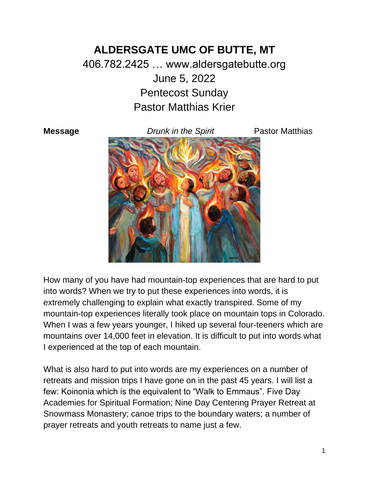## **ALDERSGATE UMC OF BUTTE, MT** 406.782.2425 … www.aldersgatebutte.org June 5, 2022 Pentecost Sunday Pastor Matthias Krier

**Message** *Drunk in the Spirit* Pastor Matthias



How many of you have had mountain-top experiences that are hard to put into words? When we try to put these experiences into words, it is extremely challenging to explain what exactly transpired. Some of my mountain-top experiences literally took place on mountain tops in Colorado. When I was a few years younger, I hiked up several four-teeners which are mountains over 14,000 feet in elevation. It is difficult to put into words what I experienced at the top of each mountain.

What is also hard to put into words are my experiences on a number of retreats and mission trips I have gone on in the past 45 years. I will list a few: Koinonia which is the equivalent to "Walk to Emmaus". Five Day Academies for Spiritual Formation; Nine Day Centering Prayer Retreat at Snowmass Monastery; canoe trips to the boundary waters; a number of prayer retreats and youth retreats to name just a few.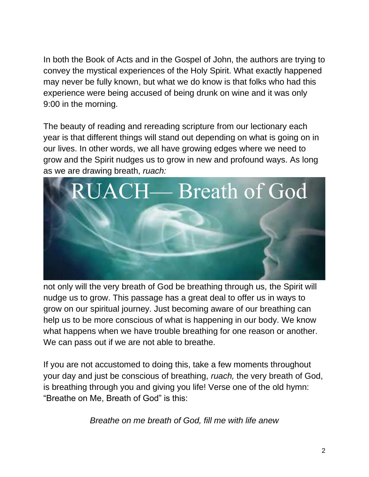In both the Book of Acts and in the Gospel of John, the authors are trying to convey the mystical experiences of the Holy Spirit. What exactly happened may never be fully known, but what we do know is that folks who had this experience were being accused of being drunk on wine and it was only 9:00 in the morning.

The beauty of reading and rereading scripture from our lectionary each year is that different things will stand out depending on what is going on in our lives. In other words, we all have growing edges where we need to grow and the Spirit nudges us to grow in new and profound ways. As long as we are drawing breath, *ruach:*



not only will the very breath of God be breathing through us, the Spirit will nudge us to grow. This passage has a great deal to offer us in ways to grow on our spiritual journey. Just becoming aware of our breathing can help us to be more conscious of what is happening in our body. We know what happens when we have trouble breathing for one reason or another. We can pass out if we are not able to breathe.

If you are not accustomed to doing this, take a few moments throughout your day and just be conscious of breathing, *ruach,* the very breath of God, is breathing through you and giving you life! Verse one of the old hymn: "Breathe on Me, Breath of God" is this:

*Breathe on me breath of God, fill me with life anew*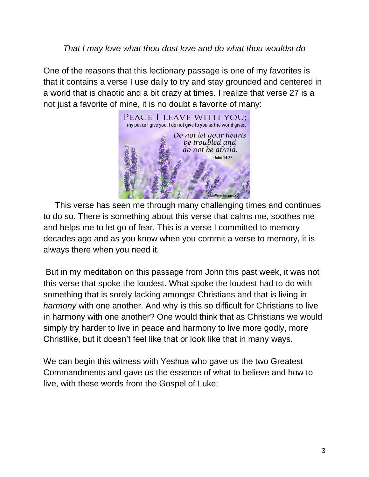## *That I may love what thou dost love and do what thou wouldst do*

One of the reasons that this lectionary passage is one of my favorites is that it contains a verse I use daily to try and stay grounded and centered in a world that is chaotic and a bit crazy at times. I realize that verse 27 is a not just a favorite of mine, it is no doubt a favorite of many:



 This verse has seen me through many challenging times and continues to do so. There is something about this verse that calms me, soothes me and helps me to let go of fear. This is a verse I committed to memory decades ago and as you know when you commit a verse to memory, it is always there when you need it.

But in my meditation on this passage from John this past week, it was not this verse that spoke the loudest. What spoke the loudest had to do with something that is sorely lacking amongst Christians and that is living in *harmony* with one another. And why is this so difficult for Christians to live in harmony with one another? One would think that as Christians we would simply try harder to live in peace and harmony to live more godly, more Christlike, but it doesn't feel like that or look like that in many ways.

We can begin this witness with Yeshua who gave us the two Greatest Commandments and gave us the essence of what to believe and how to live, with these words from the Gospel of Luke: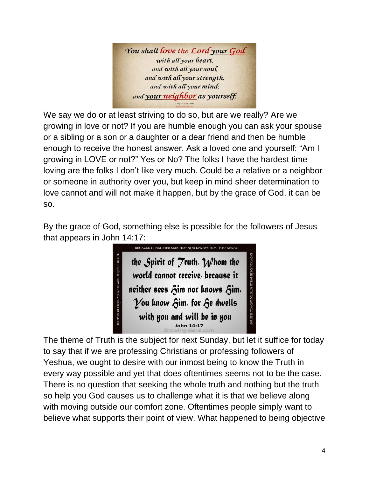

We say we do or at least striving to do so, but are we really? Are we growing in love or not? If you are humble enough you can ask your spouse or a sibling or a son or a daughter or a dear friend and then be humble enough to receive the honest answer. Ask a loved one and yourself: "Am I growing in LOVE or not?" Yes or No? The folks I have the hardest time loving are the folks I don't like very much. Could be a relative or a neighbor or someone in authority over you, but keep in mind sheer determination to love cannot and will not make it happen, but by the grace of God, it can be so.

By the grace of God, something else is possible for the followers of Jesus that appears in John 14:17:



The theme of Truth is the subject for next Sunday, but let it suffice for today to say that if we are professing Christians or professing followers of Yeshua, we ought to desire with our inmost being to know the Truth in every way possible and yet that does oftentimes seems not to be the case. There is no question that seeking the whole truth and nothing but the truth so help you God causes us to challenge what it is that we believe along with moving outside our comfort zone. Oftentimes people simply want to believe what supports their point of view. What happened to being objective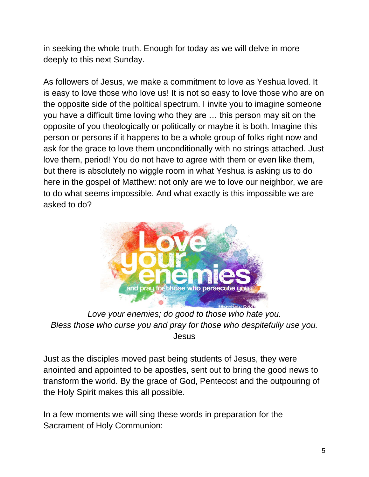in seeking the whole truth. Enough for today as we will delve in more deeply to this next Sunday.

As followers of Jesus, we make a commitment to love as Yeshua loved. It is easy to love those who love us! It is not so easy to love those who are on the opposite side of the political spectrum. I invite you to imagine someone you have a difficult time loving who they are … this person may sit on the opposite of you theologically or politically or maybe it is both. Imagine this person or persons if it happens to be a whole group of folks right now and ask for the grace to love them unconditionally with no strings attached. Just love them, period! You do not have to agree with them or even like them, but there is absolutely no wiggle room in what Yeshua is asking us to do here in the gospel of Matthew: not only are we to love our neighbor, we are to do what seems impossible. And what exactly is this impossible we are asked to do?



*Love your enemies; do good to those who hate you. Bless those who curse you and pray for those who despitefully use you.* Jesus

Just as the disciples moved past being students of Jesus, they were anointed and appointed to be apostles, sent out to bring the good news to transform the world. By the grace of God, Pentecost and the outpouring of the Holy Spirit makes this all possible.

In a few moments we will sing these words in preparation for the Sacrament of Holy Communion: